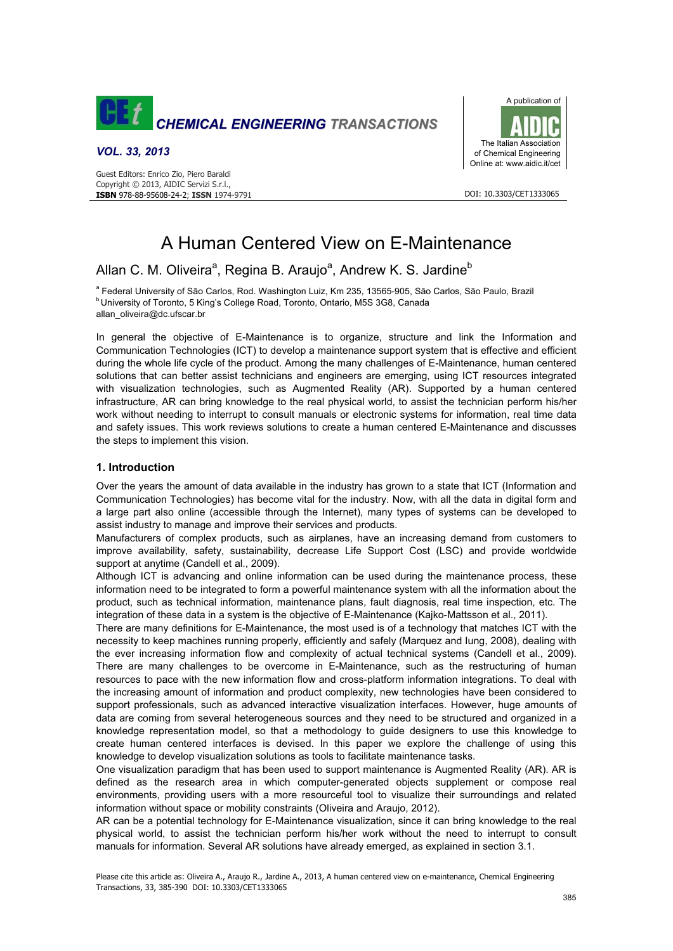

#### *VOL. 33, 2013*



#### DOI: 10.3303/CET1333065

# A Human Centered View on E-Maintenance

# Allan C. M. Oliveira<sup>a</sup>, Regina B. Araujo<sup>a</sup>, Andrew K. S. Jardine<sup>b</sup>

<sup>a</sup> Federal University of São Carlos, Rod. Washington Luiz, Km 235, 13565-905, São Carlos, São Paulo, Brazil **b** University of Toronto, 5 King's College Road, Toronto, Ontario, M5S 3G8, Canada allan\_oliveira@dc.ufscar.br

In general the objective of E-Maintenance is to organize, structure and link the Information and Communication Technologies (ICT) to develop a maintenance support system that is effective and efficient during the whole life cycle of the product. Among the many challenges of E-Maintenance, human centered solutions that can better assist technicians and engineers are emerging, using ICT resources integrated with visualization technologies, such as Augmented Reality (AR). Supported by a human centered infrastructure, AR can bring knowledge to the real physical world, to assist the technician perform his/her work without needing to interrupt to consult manuals or electronic systems for information, real time data and safety issues. This work reviews solutions to create a human centered E-Maintenance and discusses the steps to implement this vision.

# **1. Introduction**

Over the years the amount of data available in the industry has grown to a state that ICT (Information and Communication Technologies) has become vital for the industry. Now, with all the data in digital form and a large part also online (accessible through the Internet), many types of systems can be developed to assist industry to manage and improve their services and products.

Manufacturers of complex products, such as airplanes, have an increasing demand from customers to improve availability, safety, sustainability, decrease Life Support Cost (LSC) and provide worldwide support at anytime (Candell et al., 2009).

Although ICT is advancing and online information can be used during the maintenance process, these information need to be integrated to form a powerful maintenance system with all the information about the product, such as technical information, maintenance plans, fault diagnosis, real time inspection, etc. The integration of these data in a system is the objective of E-Maintenance (Kajko-Mattsson et al., 2011).

There are many definitions for E-Maintenance, the most used is of a technology that matches ICT with the necessity to keep machines running properly, efficiently and safely (Marquez and Iung, 2008), dealing with the ever increasing information flow and complexity of actual technical systems (Candell et al., 2009). There are many challenges to be overcome in E-Maintenance, such as the restructuring of human resources to pace with the new information flow and cross-platform information integrations. To deal with the increasing amount of information and product complexity, new technologies have been considered to support professionals, such as advanced interactive visualization interfaces. However, huge amounts of data are coming from several heterogeneous sources and they need to be structured and organized in a knowledge representation model, so that a methodology to guide designers to use this knowledge to create human centered interfaces is devised. In this paper we explore the challenge of using this knowledge to develop visualization solutions as tools to facilitate maintenance tasks.

One visualization paradigm that has been used to support maintenance is Augmented Reality (AR). AR is defined as the research area in which computer-generated objects supplement or compose real environments, providing users with a more resourceful tool to visualize their surroundings and related information without space or mobility constraints (Oliveira and Araujo, 2012).

AR can be a potential technology for E-Maintenance visualization, since it can bring knowledge to the real physical world, to assist the technician perform his/her work without the need to interrupt to consult manuals for information. Several AR solutions have already emerged, as explained in section 3.1.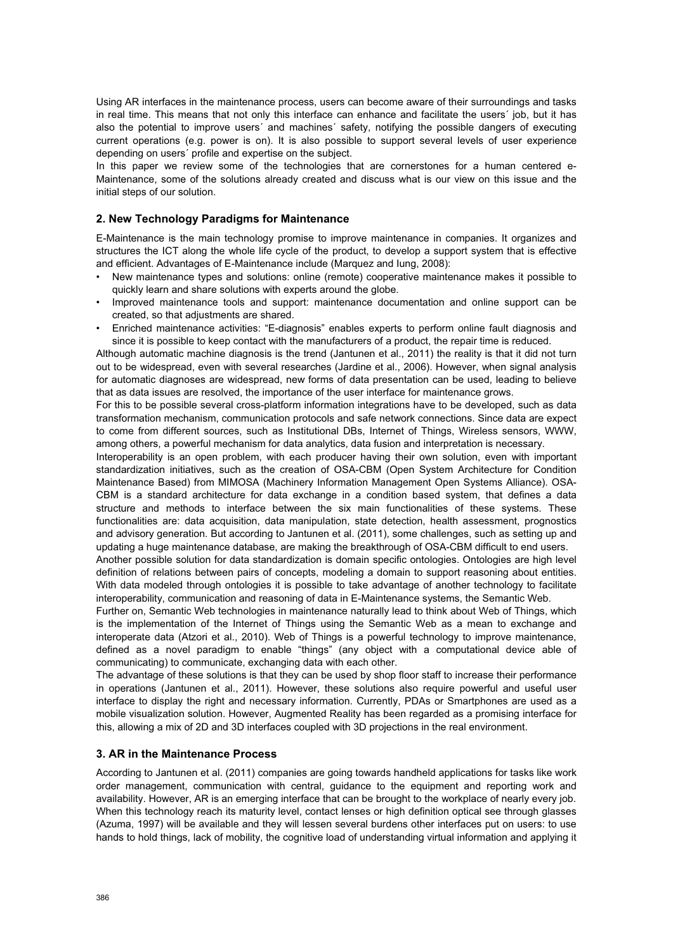Using AR interfaces in the maintenance process, users can become aware of their surroundings and tasks in real time. This means that not only this interface can enhance and facilitate the users´ job, but it has also the potential to improve users´ and machines´ safety, notifying the possible dangers of executing current operations (e.g. power is on). It is also possible to support several levels of user experience depending on users´ profile and expertise on the subject.

In this paper we review some of the technologies that are cornerstones for a human centered e-Maintenance, some of the solutions already created and discuss what is our view on this issue and the initial steps of our solution.

# **2. New Technology Paradigms for Maintenance**

E-Maintenance is the main technology promise to improve maintenance in companies. It organizes and structures the ICT along the whole life cycle of the product, to develop a support system that is effective and efficient. Advantages of E-Maintenance include (Marquez and Iung, 2008):

- New maintenance types and solutions: online (remote) cooperative maintenance makes it possible to quickly learn and share solutions with experts around the globe.
- Improved maintenance tools and support: maintenance documentation and online support can be created, so that adjustments are shared.
- Enriched maintenance activities: "E-diagnosis" enables experts to perform online fault diagnosis and since it is possible to keep contact with the manufacturers of a product, the repair time is reduced.

Although automatic machine diagnosis is the trend (Jantunen et al., 2011) the reality is that it did not turn out to be widespread, even with several researches (Jardine et al., 2006). However, when signal analysis for automatic diagnoses are widespread, new forms of data presentation can be used, leading to believe that as data issues are resolved, the importance of the user interface for maintenance grows.

For this to be possible several cross-platform information integrations have to be developed, such as data transformation mechanism, communication protocols and safe network connections. Since data are expect to come from different sources, such as Institutional DBs, Internet of Things, Wireless sensors, WWW, among others, a powerful mechanism for data analytics, data fusion and interpretation is necessary.

Interoperability is an open problem, with each producer having their own solution, even with important standardization initiatives, such as the creation of OSA-CBM (Open System Architecture for Condition Maintenance Based) from MIMOSA (Machinery Information Management Open Systems Alliance). OSA-CBM is a standard architecture for data exchange in a condition based system, that defines a data structure and methods to interface between the six main functionalities of these systems. These functionalities are: data acquisition, data manipulation, state detection, health assessment, prognostics and advisory generation. But according to Jantunen et al. (2011), some challenges, such as setting up and updating a huge maintenance database, are making the breakthrough of OSA-CBM difficult to end users.

Another possible solution for data standardization is domain specific ontologies. Ontologies are high level definition of relations between pairs of concepts, modeling a domain to support reasoning about entities. With data modeled through ontologies it is possible to take advantage of another technology to facilitate interoperability, communication and reasoning of data in E-Maintenance systems, the Semantic Web.

Further on, Semantic Web technologies in maintenance naturally lead to think about Web of Things, which is the implementation of the Internet of Things using the Semantic Web as a mean to exchange and interoperate data (Atzori et al., 2010). Web of Things is a powerful technology to improve maintenance, defined as a novel paradigm to enable "things" (any object with a computational device able of communicating) to communicate, exchanging data with each other.

The advantage of these solutions is that they can be used by shop floor staff to increase their performance in operations (Jantunen et al., 2011). However, these solutions also require powerful and useful user interface to display the right and necessary information. Currently, PDAs or Smartphones are used as a mobile visualization solution. However, Augmented Reality has been regarded as a promising interface for this, allowing a mix of 2D and 3D interfaces coupled with 3D projections in the real environment.

# **3. AR in the Maintenance Process**

According to Jantunen et al. (2011) companies are going towards handheld applications for tasks like work order management, communication with central, guidance to the equipment and reporting work and availability. However, AR is an emerging interface that can be brought to the workplace of nearly every job. When this technology reach its maturity level, contact lenses or high definition optical see through glasses (Azuma, 1997) will be available and they will lessen several burdens other interfaces put on users: to use hands to hold things, lack of mobility, the cognitive load of understanding virtual information and applying it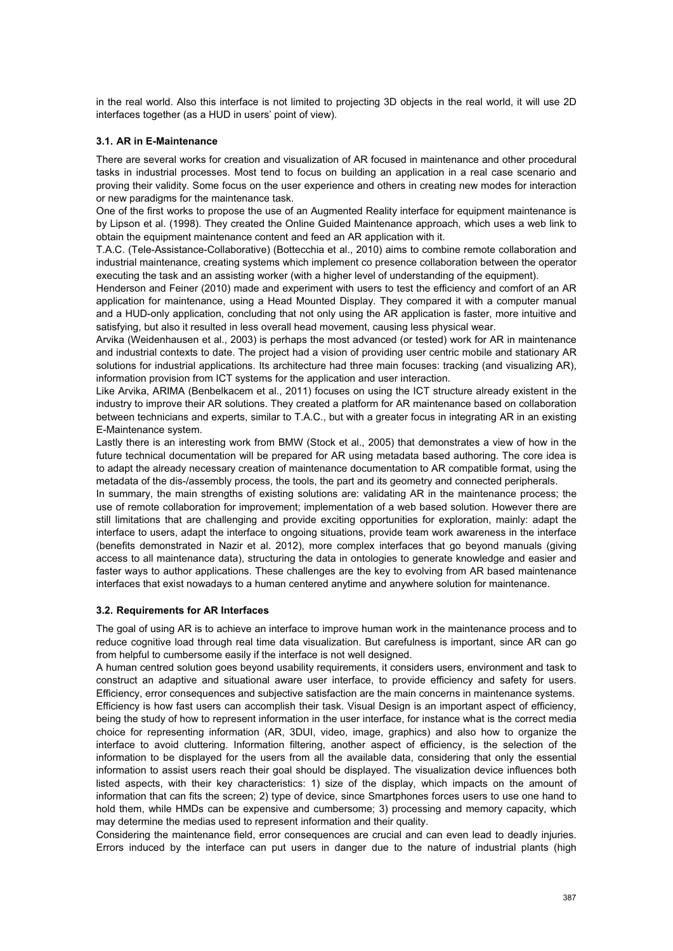in the real world. Also this interface is not limited to projecting 3D objects in the real world, it will use 2D interfaces together (as a HUD in users' point of view).

# **3.1. AR in E-Maintenance**

There are several works for creation and visualization of AR focused in maintenance and other procedural tasks in industrial processes. Most tend to focus on building an application in a real case scenario and proving their validity. Some focus on the user experience and others in creating new modes for interaction or new paradigms for the maintenance task.

One of the first works to propose the use of an Augmented Reality interface for equipment maintenance is by Lipson et al. (1998). They created the Online Guided Maintenance approach, which uses a web link to obtain the equipment maintenance content and feed an AR application with it.

T.A.C. (Tele-Assistance-Collaborative) (Bottecchia et al., 2010) aims to combine remote collaboration and industrial maintenance, creating systems which implement co presence collaboration between the operator executing the task and an assisting worker (with a higher level of understanding of the equipment).

Henderson and Feiner (2010) made and experiment with users to test the efficiency and comfort of an AR application for maintenance, using a Head Mounted Display. They compared it with a computer manual and a HUD-only application, concluding that not only using the AR application is faster, more intuitive and satisfying, but also it resulted in less overall head movement, causing less physical wear.

Arvika (Weidenhausen et al., 2003) is perhaps the most advanced (or tested) work for AR in maintenance and industrial contexts to date. The project had a vision of providing user centric mobile and stationary AR solutions for industrial applications. Its architecture had three main focuses: tracking (and visualizing AR), information provision from ICT systems for the application and user interaction.

Like Arvika, ARIMA (Benbelkacem et al., 2011) focuses on using the ICT structure already existent in the industry to improve their AR solutions. They created a platform for AR maintenance based on collaboration between technicians and experts, similar to T.A.C., but with a greater focus in integrating AR in an existing E-Maintenance system.

Lastly there is an interesting work from BMW (Stock et al., 2005) that demonstrates a view of how in the future technical documentation will be prepared for AR using metadata based authoring. The core idea is to adapt the already necessary creation of maintenance documentation to AR compatible format, using the metadata of the dis-/assembly process, the tools, the part and its geometry and connected peripherals.

In summary, the main strengths of existing solutions are: validating AR in the maintenance process; the use of remote collaboration for improvement; implementation of a web based solution. However there are still limitations that are challenging and provide exciting opportunities for exploration, mainly: adapt the interface to users, adapt the interface to ongoing situations, provide team work awareness in the interface (benefits demonstrated in Nazir et al. 2012), more complex interfaces that go beyond manuals (giving access to all maintenance data), structuring the data in ontologies to generate knowledge and easier and faster ways to author applications. These challenges are the key to evolving from AR based maintenance interfaces that exist nowadays to a human centered anytime and anywhere solution for maintenance.

#### **3.2. Requirements for AR Interfaces**

The goal of using AR is to achieve an interface to improve human work in the maintenance process and to reduce cognitive load through real time data visualization. But carefulness is important, since AR can go from helpful to cumbersome easily if the interface is not well designed.

A human centred solution goes beyond usability requirements, it considers users, environment and task to construct an adaptive and situational aware user interface, to provide efficiency and safety for users. Efficiency, error consequences and subjective satisfaction are the main concerns in maintenance systems. Efficiency is how fast users can accomplish their task. Visual Design is an important aspect of efficiency, being the study of how to represent information in the user interface, for instance what is the correct media choice for representing information (AR, 3DUI, video, image, graphics) and also how to organize the interface to avoid cluttering. Information filtering, another aspect of efficiency, is the selection of the information to be displayed for the users from all the available data, considering that only the essential information to assist users reach their goal should be displayed. The visualization device influences both listed aspects, with their key characteristics: 1) size of the display, which impacts on the amount of information that can fits the screen; 2) type of device, since Smartphones forces users to use one hand to hold them, while HMDs can be expensive and cumbersome; 3) processing and memory capacity, which may determine the medias used to represent information and their quality.

Considering the maintenance field, error consequences are crucial and can even lead to deadly injuries. Errors induced by the interface can put users in danger due to the nature of industrial plants (high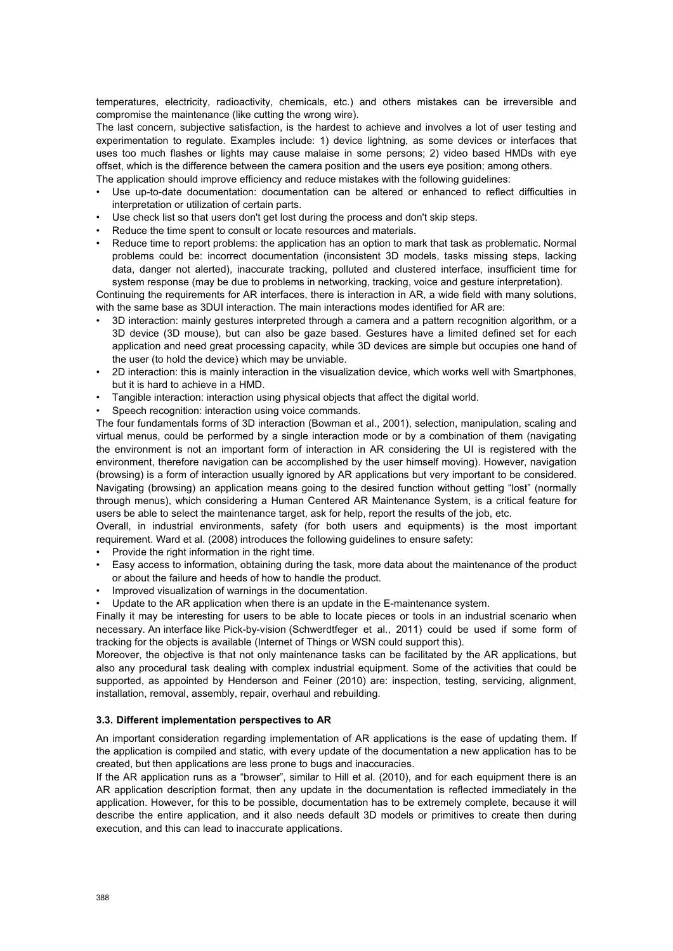temperatures, electricity, radioactivity, chemicals, etc.) and others mistakes can be irreversible and compromise the maintenance (like cutting the wrong wire).

The last concern, subjective satisfaction, is the hardest to achieve and involves a lot of user testing and experimentation to regulate. Examples include: 1) device lightning, as some devices or interfaces that uses too much flashes or lights may cause malaise in some persons; 2) video based HMDs with eye offset, which is the difference between the camera position and the users eye position; among others. The application should improve efficiency and reduce mistakes with the following guidelines:

- Use up-to-date documentation: documentation can be altered or enhanced to reflect difficulties in interpretation or utilization of certain parts.
- Use check list so that users don't get lost during the process and don't skip steps.
- Reduce the time spent to consult or locate resources and materials.
- Reduce time to report problems: the application has an option to mark that task as problematic. Normal problems could be: incorrect documentation (inconsistent 3D models, tasks missing steps, lacking data, danger not alerted), inaccurate tracking, polluted and clustered interface, insufficient time for system response (may be due to problems in networking, tracking, voice and gesture interpretation).

Continuing the requirements for AR interfaces, there is interaction in AR, a wide field with many solutions, with the same base as 3DUI interaction. The main interactions modes identified for AR are:

- 3D interaction: mainly gestures interpreted through a camera and a pattern recognition algorithm, or a 3D device (3D mouse), but can also be gaze based. Gestures have a limited defined set for each application and need great processing capacity, while 3D devices are simple but occupies one hand of the user (to hold the device) which may be unviable.
- 2D interaction: this is mainly interaction in the visualization device, which works well with Smartphones, but it is hard to achieve in a HMD.
- Tangible interaction: interaction using physical objects that affect the digital world.
- Speech recognition: interaction using voice commands.

The four fundamentals forms of 3D interaction (Bowman et al., 2001), selection, manipulation, scaling and virtual menus, could be performed by a single interaction mode or by a combination of them (navigating the environment is not an important form of interaction in AR considering the UI is registered with the environment, therefore navigation can be accomplished by the user himself moving). However, navigation (browsing) is a form of interaction usually ignored by AR applications but very important to be considered. Navigating (browsing) an application means going to the desired function without getting "lost" (normally through menus), which considering a Human Centered AR Maintenance System, is a critical feature for users be able to select the maintenance target, ask for help, report the results of the job, etc.

Overall, in industrial environments, safety (for both users and equipments) is the most important requirement. Ward et al. (2008) introduces the following guidelines to ensure safety:

- Provide the right information in the right time.
- Easy access to information, obtaining during the task, more data about the maintenance of the product or about the failure and heeds of how to handle the product.
- Improved visualization of warnings in the documentation.
- Update to the AR application when there is an update in the E-maintenance system.

Finally it may be interesting for users to be able to locate pieces or tools in an industrial scenario when necessary. An interface like Pick-by-vision (Schwerdtfeger et al., 2011) could be used if some form of tracking for the objects is available (Internet of Things or WSN could support this).

Moreover, the objective is that not only maintenance tasks can be facilitated by the AR applications, but also any procedural task dealing with complex industrial equipment. Some of the activities that could be supported, as appointed by Henderson and Feiner (2010) are: inspection, testing, servicing, alignment, installation, removal, assembly, repair, overhaul and rebuilding.

#### **3.3. Different implementation perspectives to AR**

An important consideration regarding implementation of AR applications is the ease of updating them. If the application is compiled and static, with every update of the documentation a new application has to be created, but then applications are less prone to bugs and inaccuracies.

If the AR application runs as a "browser", similar to Hill et al. (2010), and for each equipment there is an AR application description format, then any update in the documentation is reflected immediately in the application. However, for this to be possible, documentation has to be extremely complete, because it will describe the entire application, and it also needs default 3D models or primitives to create then during execution, and this can lead to inaccurate applications.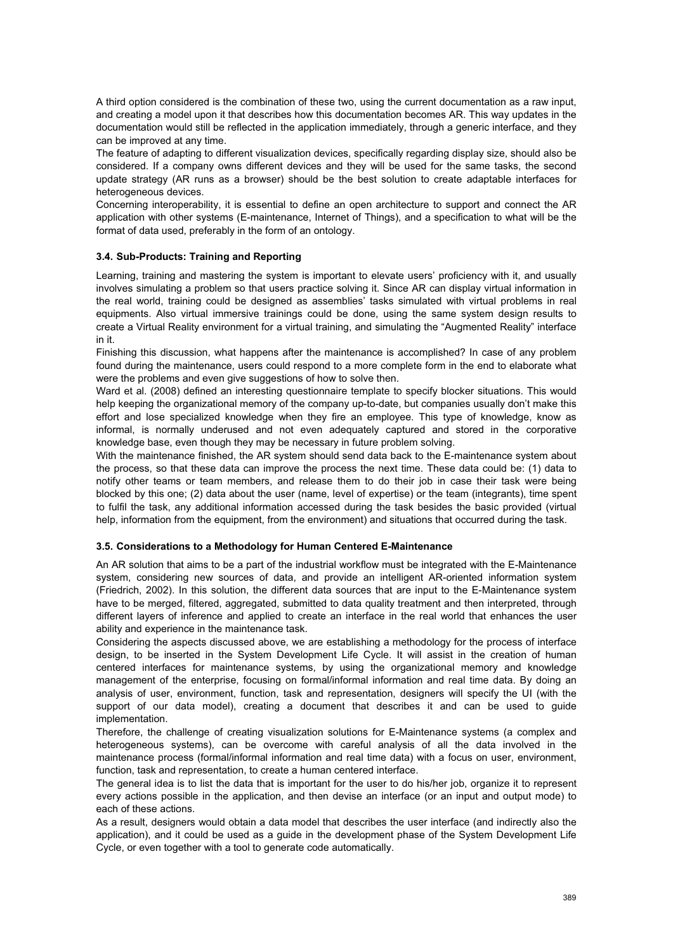A third option considered is the combination of these two, using the current documentation as a raw input, and creating a model upon it that describes how this documentation becomes AR. This way updates in the documentation would still be reflected in the application immediately, through a generic interface, and they can be improved at any time.

The feature of adapting to different visualization devices, specifically regarding display size, should also be considered. If a company owns different devices and they will be used for the same tasks, the second update strategy (AR runs as a browser) should be the best solution to create adaptable interfaces for heterogeneous devices.

Concerning interoperability, it is essential to define an open architecture to support and connect the AR application with other systems (E-maintenance, Internet of Things), and a specification to what will be the format of data used, preferably in the form of an ontology.

# **3.4. Sub-Products: Training and Reporting**

Learning, training and mastering the system is important to elevate users' proficiency with it, and usually involves simulating a problem so that users practice solving it. Since AR can display virtual information in the real world, training could be designed as assemblies' tasks simulated with virtual problems in real equipments. Also virtual immersive trainings could be done, using the same system design results to create a Virtual Reality environment for a virtual training, and simulating the "Augmented Reality" interface in it.

Finishing this discussion, what happens after the maintenance is accomplished? In case of any problem found during the maintenance, users could respond to a more complete form in the end to elaborate what were the problems and even give suggestions of how to solve then.

Ward et al. (2008) defined an interesting questionnaire template to specify blocker situations. This would help keeping the organizational memory of the company up-to-date, but companies usually don't make this effort and lose specialized knowledge when they fire an employee. This type of knowledge, know as informal, is normally underused and not even adequately captured and stored in the corporative knowledge base, even though they may be necessary in future problem solving.

With the maintenance finished, the AR system should send data back to the E-maintenance system about the process, so that these data can improve the process the next time. These data could be: (1) data to notify other teams or team members, and release them to do their job in case their task were being blocked by this one; (2) data about the user (name, level of expertise) or the team (integrants), time spent to fulfil the task, any additional information accessed during the task besides the basic provided (virtual help, information from the equipment, from the environment) and situations that occurred during the task.

#### **3.5. Considerations to a Methodology for Human Centered E-Maintenance**

An AR solution that aims to be a part of the industrial workflow must be integrated with the E-Maintenance system, considering new sources of data, and provide an intelligent AR-oriented information system (Friedrich, 2002). In this solution, the different data sources that are input to the E-Maintenance system have to be merged, filtered, aggregated, submitted to data quality treatment and then interpreted, through different layers of inference and applied to create an interface in the real world that enhances the user ability and experience in the maintenance task.

Considering the aspects discussed above, we are establishing a methodology for the process of interface design, to be inserted in the System Development Life Cycle. It will assist in the creation of human centered interfaces for maintenance systems, by using the organizational memory and knowledge management of the enterprise, focusing on formal/informal information and real time data. By doing an analysis of user, environment, function, task and representation, designers will specify the UI (with the support of our data model), creating a document that describes it and can be used to guide implementation.

Therefore, the challenge of creating visualization solutions for E-Maintenance systems (a complex and heterogeneous systems), can be overcome with careful analysis of all the data involved in the maintenance process (formal/informal information and real time data) with a focus on user, environment, function, task and representation, to create a human centered interface.

The general idea is to list the data that is important for the user to do his/her job, organize it to represent every actions possible in the application, and then devise an interface (or an input and output mode) to each of these actions.

As a result, designers would obtain a data model that describes the user interface (and indirectly also the application), and it could be used as a guide in the development phase of the System Development Life Cycle, or even together with a tool to generate code automatically.